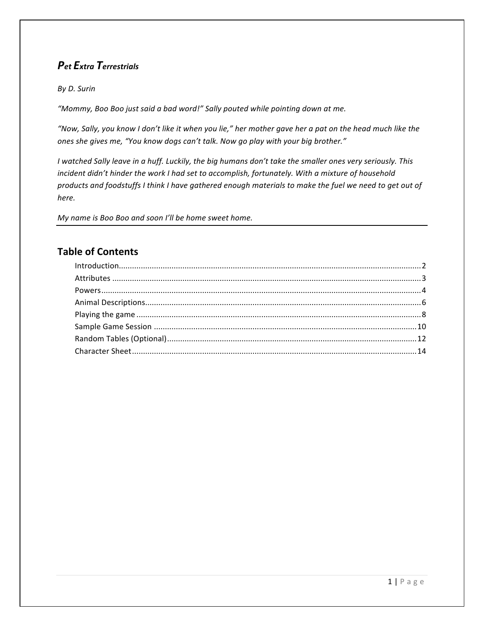# *Pet Extra Terrestrials*

### *By D. Surin*

"Mommy, Boo Boo just said a bad word!" Sally pouted while pointing down at me.

"Now, Sally, you know I don't like it when you lie," her mother gave her a pat on the head much like the *ones she gives me, "You know dogs can't talk. Now go play with your big brother."* 

*I* watched Sally leave in a huff. Luckily, the big humans don't take the smaller ones very seriously. This *incident didn't hinder the work I had set to accomplish, fortunately. With a mixture of household products and foodstuffs I think I have gathered enough materials to make the fuel we need to get out of here.* 

*My name is Boo Boo and soon I'll be home sweet home.* 

# **Table of Contents**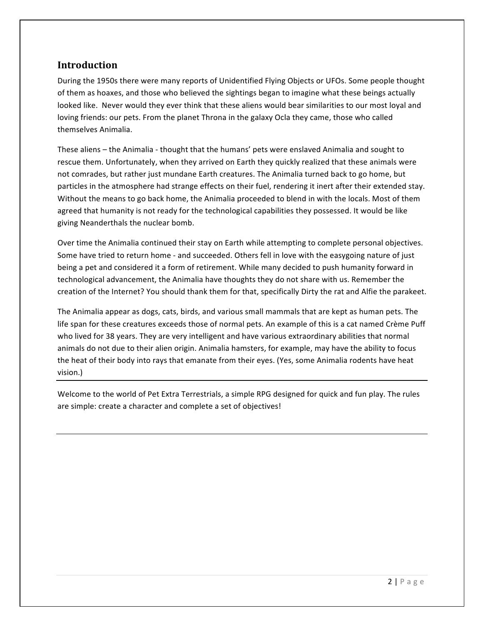## **Introduction**

During the 1950s there were many reports of Unidentified Flying Objects or UFOs. Some people thought of them as hoaxes, and those who believed the sightings began to imagine what these beings actually looked like. Never would they ever think that these aliens would bear similarities to our most loyal and loving friends: our pets. From the planet Throna in the galaxy Ocla they came, those who called themselves Animalia.

These aliens – the Animalia - thought that the humans' pets were enslaved Animalia and sought to rescue them. Unfortunately, when they arrived on Earth they quickly realized that these animals were not comrades, but rather just mundane Earth creatures. The Animalia turned back to go home, but particles in the atmosphere had strange effects on their fuel, rendering it inert after their extended stay. Without the means to go back home, the Animalia proceeded to blend in with the locals. Most of them agreed that humanity is not ready for the technological capabilities they possessed. It would be like giving Neanderthals the nuclear bomb.

Over time the Animalia continued their stay on Earth while attempting to complete personal objectives. Some have tried to return home - and succeeded. Others fell in love with the easygoing nature of just being a pet and considered it a form of retirement. While many decided to push humanity forward in technological advancement, the Animalia have thoughts they do not share with us. Remember the creation of the Internet? You should thank them for that, specifically Dirty the rat and Alfie the parakeet.

The Animalia appear as dogs, cats, birds, and various small mammals that are kept as human pets. The life span for these creatures exceeds those of normal pets. An example of this is a cat named Crème Puff who lived for 38 years. They are very intelligent and have various extraordinary abilities that normal animals do not due to their alien origin. Animalia hamsters, for example, may have the ability to focus the heat of their body into rays that emanate from their eyes. (Yes, some Animalia rodents have heat vision.) 

Welcome to the world of Pet Extra Terrestrials, a simple RPG designed for quick and fun play. The rules are simple: create a character and complete a set of objectives!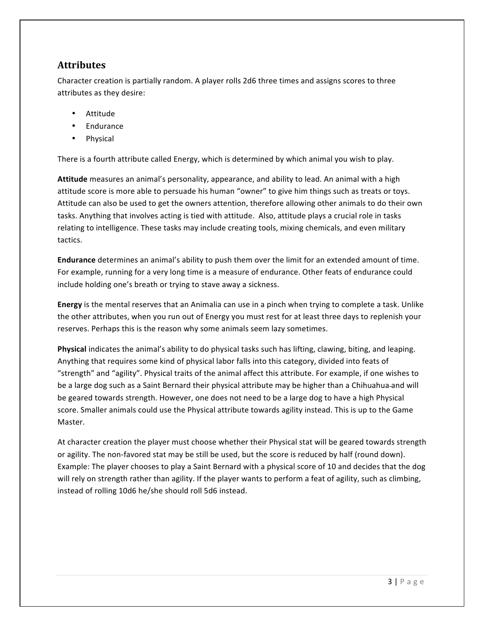# **Attributes**

Character creation is partially random. A player rolls 2d6 three times and assigns scores to three attributes as they desire:

- Attitude
- **Endurance**
- **Physical**

There is a fourth attribute called Energy, which is determined by which animal you wish to play.

**Attitude** measures an animal's personality, appearance, and ability to lead. An animal with a high attitude score is more able to persuade his human "owner" to give him things such as treats or toys. Attitude can also be used to get the owners attention, therefore allowing other animals to do their own tasks. Anything that involves acting is tied with attitude. Also, attitude plays a crucial role in tasks relating to intelligence. These tasks may include creating tools, mixing chemicals, and even military tactics. 

**Endurance** determines an animal's ability to push them over the limit for an extended amount of time. For example, running for a very long time is a measure of endurance. Other feats of endurance could include holding one's breath or trying to stave away a sickness.

**Energy** is the mental reserves that an Animalia can use in a pinch when trying to complete a task. Unlike the other attributes, when you run out of Energy you must rest for at least three days to replenish your reserves. Perhaps this is the reason why some animals seem lazy sometimes.

**Physical** indicates the animal's ability to do physical tasks such has lifting, clawing, biting, and leaping. Anything that requires some kind of physical labor falls into this category, divided into feats of "strength" and "agility". Physical traits of the animal affect this attribute. For example, if one wishes to be a large dog such as a Saint Bernard their physical attribute may be higher than a Chihuahua-and will be geared towards strength. However, one does not need to be a large dog to have a high Physical score. Smaller animals could use the Physical attribute towards agility instead. This is up to the Game Master. 

At character creation the player must choose whether their Physical stat will be geared towards strength or agility. The non-favored stat may be still be used, but the score is reduced by half (round down). Example: The player chooses to play a Saint Bernard with a physical score of 10 and decides that the dog will rely on strength rather than agility. If the player wants to perform a feat of agility, such as climbing, instead of rolling 10d6 he/she should roll 5d6 instead.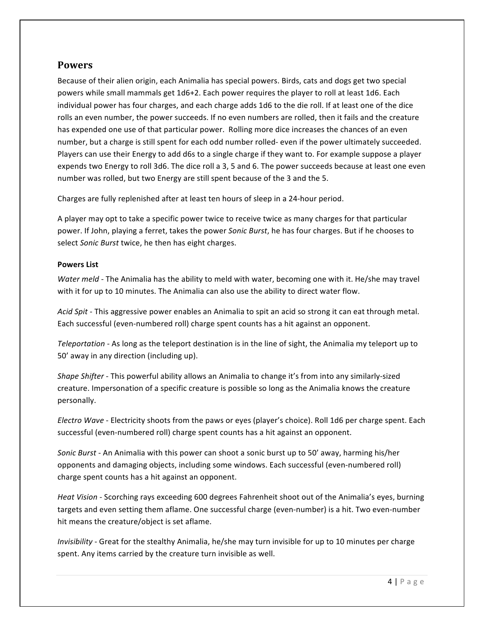## **Powers**

Because of their alien origin, each Animalia has special powers. Birds, cats and dogs get two special powers while small mammals get 1d6+2. Each power requires the player to roll at least 1d6. Each individual power has four charges, and each charge adds 1d6 to the die roll. If at least one of the dice rolls an even number, the power succeeds. If no even numbers are rolled, then it fails and the creature has expended one use of that particular power. Rolling more dice increases the chances of an even number, but a charge is still spent for each odd number rolled- even if the power ultimately succeeded. Players can use their Energy to add d6s to a single charge if they want to. For example suppose a player expends two Energy to roll 3d6. The dice roll a 3, 5 and 6. The power succeeds because at least one even number was rolled, but two Energy are still spent because of the 3 and the 5.

Charges are fully replenished after at least ten hours of sleep in a 24-hour period.

A player may opt to take a specific power twice to receive twice as many charges for that particular power. If John, playing a ferret, takes the power *Sonic Burst*, he has four charges. But if he chooses to select Sonic Burst twice, he then has eight charges.

### **Powers List**

*Water* meld - The Animalia has the ability to meld with water, becoming one with it. He/she may travel with it for up to 10 minutes. The Animalia can also use the ability to direct water flow.

Acid Spit - This aggressive power enables an Animalia to spit an acid so strong it can eat through metal. Each successful (even-numbered roll) charge spent counts has a hit against an opponent.

*Teleportation* - As long as the teleport destination is in the line of sight, the Animalia my teleport up to 50' away in any direction (including up).

Shape Shifter - This powerful ability allows an Animalia to change it's from into any similarly-sized creature. Impersonation of a specific creature is possible so long as the Animalia knows the creature personally. 

*Electro* Wave - Electricity shoots from the paws or eyes (player's choice). Roll 1d6 per charge spent. Each successful (even-numbered roll) charge spent counts has a hit against an opponent.

*Sonic Burst* - An Animalia with this power can shoot a sonic burst up to 50' away, harming his/her opponents and damaging objects, including some windows. Each successful (even-numbered roll) charge spent counts has a hit against an opponent.

*Heat Vision* - Scorching rays exceeding 600 degrees Fahrenheit shoot out of the Animalia's eyes, burning targets and even setting them aflame. One successful charge (even-number) is a hit. Two even-number hit means the creature/object is set aflame.

*Invisibility* - Great for the stealthy Animalia, he/she may turn invisible for up to 10 minutes per charge spent. Any items carried by the creature turn invisible as well.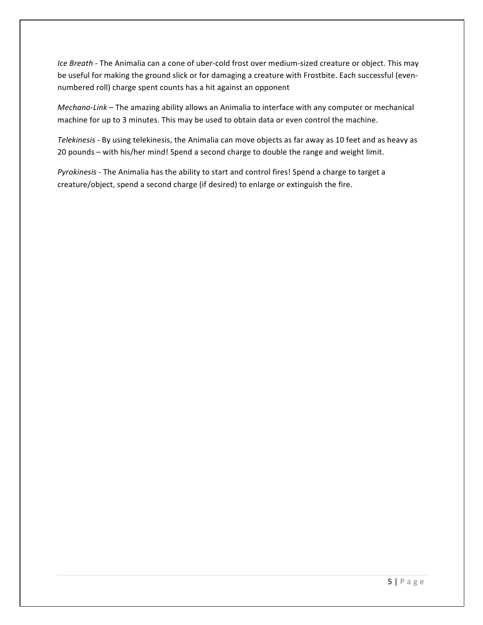*Ice* Breath - The Animalia can a cone of uber-cold frost over medium-sized creature or object. This may be useful for making the ground slick or for damaging a creature with Frostbite. Each successful (evennumbered roll) charge spent counts has a hit against an opponent

*Mechano-Link* – The amazing ability allows an Animalia to interface with any computer or mechanical machine for up to 3 minutes. This may be used to obtain data or even control the machine.

Telekinesis - By using telekinesis, the Animalia can move objects as far away as 10 feet and as heavy as 20 pounds - with his/her mind! Spend a second charge to double the range and weight limit.

*Pyrokinesis* - The Animalia has the ability to start and control fires! Spend a charge to target a creature/object, spend a second charge (if desired) to enlarge or extinguish the fire.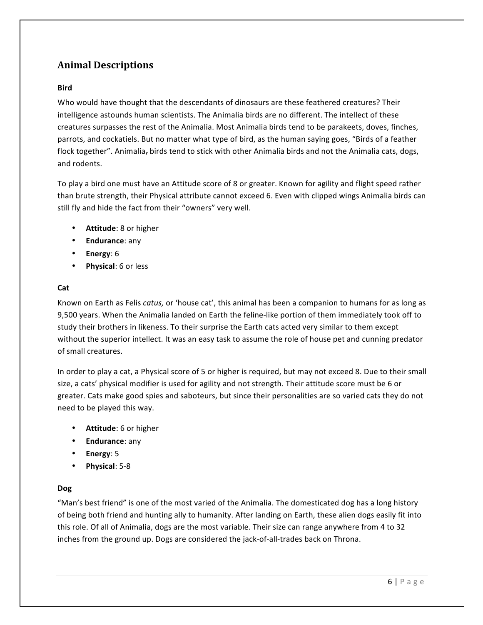# **Animal Descriptions**

### **Bird**

Who would have thought that the descendants of dinosaurs are these feathered creatures? Their intelligence astounds human scientists. The Animalia birds are no different. The intellect of these creatures surpasses the rest of the Animalia. Most Animalia birds tend to be parakeets, doves, finches, parrots, and cockatiels. But no matter what type of bird, as the human saying goes, "Birds of a feather flock together". Animalia, birds tend to stick with other Animalia birds and not the Animalia cats, dogs, and rodents.

To play a bird one must have an Attitude score of 8 or greater. Known for agility and flight speed rather than brute strength, their Physical attribute cannot exceed 6. Even with clipped wings Animalia birds can still fly and hide the fact from their "owners" very well.

- **Attitude**: 8 or higher
- **Endurance**: any
- **Energy**: 6
- **Physical:** 6 or less

#### **Cat**

Known on Earth as Felis *catus,* or 'house cat', this animal has been a companion to humans for as long as 9,500 years. When the Animalia landed on Earth the feline-like portion of them immediately took off to study their brothers in likeness. To their surprise the Earth cats acted very similar to them except without the superior intellect. It was an easy task to assume the role of house pet and cunning predator of small creatures. 

In order to play a cat, a Physical score of 5 or higher is required, but may not exceed 8. Due to their small size, a cats' physical modifier is used for agility and not strength. Their attitude score must be 6 or greater. Cats make good spies and saboteurs, but since their personalities are so varied cats they do not need to be played this way.

- **Attitude**: 6 or higher
- **Endurance**: any
- **Energy**: 5
- **Physical:** 5-8

#### **Dog**

"Man's best friend" is one of the most varied of the Animalia. The domesticated dog has a long history of being both friend and hunting ally to humanity. After landing on Earth, these alien dogs easily fit into this role. Of all of Animalia, dogs are the most variable. Their size can range anywhere from 4 to 32 inches from the ground up. Dogs are considered the jack-of-all-trades back on Throna.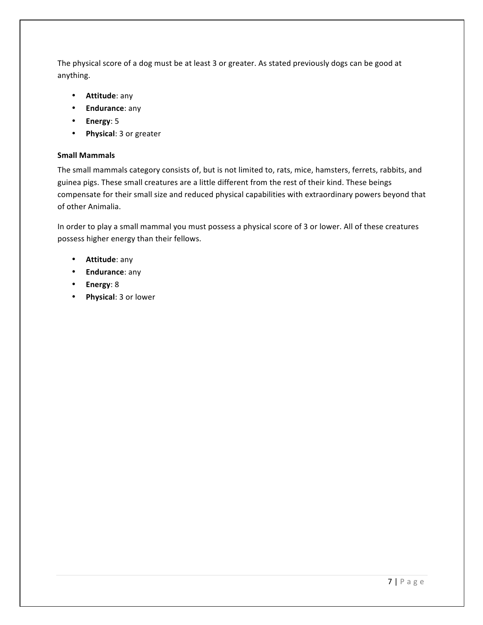The physical score of a dog must be at least 3 or greater. As stated previously dogs can be good at anything. 

- **Attitude**: any
- **Endurance**: any
- **Energy**: 5
- **Physical**: 3 or greater

#### **Small Mammals**

The small mammals category consists of, but is not limited to, rats, mice, hamsters, ferrets, rabbits, and guinea pigs. These small creatures are a little different from the rest of their kind. These beings compensate for their small size and reduced physical capabilities with extraordinary powers beyond that of other Animalia.

In order to play a small mammal you must possess a physical score of 3 or lower. All of these creatures possess higher energy than their fellows.

- **Attitude**: any
- **Endurance**: any
- **Energy**: 8
- **Physical**: 3 or lower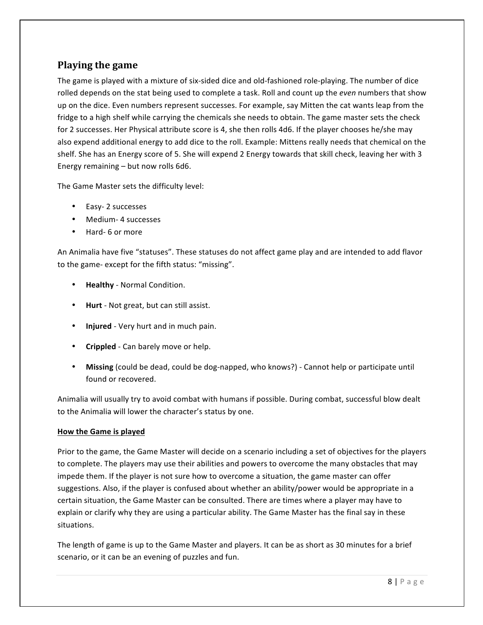# **Playing the game**

The game is played with a mixture of six-sided dice and old-fashioned role-playing. The number of dice rolled depends on the stat being used to complete a task. Roll and count up the *even* numbers that show up on the dice. Even numbers represent successes. For example, say Mitten the cat wants leap from the fridge to a high shelf while carrying the chemicals she needs to obtain. The game master sets the check for 2 successes. Her Physical attribute score is 4, she then rolls 4d6. If the player chooses he/she may also expend additional energy to add dice to the roll. Example: Mittens really needs that chemical on the shelf. She has an Energy score of 5. She will expend 2 Energy towards that skill check, leaving her with 3 Energy remaining  $-$  but now rolls 6d6.

The Game Master sets the difficulty level:

- Easy-2 successes
- Medium- 4 successes
- Hard- 6 or more

An Animalia have five "statuses". These statuses do not affect game play and are intended to add flavor to the game- except for the fifth status: "missing".

- **Healthy** Normal Condition.
- **Hurt** Not great, but can still assist.
- **Injured** Very hurt and in much pain.
- **Crippled** Can barely move or help.
- Missing (could be dead, could be dog-napped, who knows?) Cannot help or participate until found or recovered.

Animalia will usually try to avoid combat with humans if possible. During combat, successful blow dealt to the Animalia will lower the character's status by one.

### **How the Game is played**

Prior to the game, the Game Master will decide on a scenario including a set of objectives for the players to complete. The players may use their abilities and powers to overcome the many obstacles that may impede them. If the player is not sure how to overcome a situation, the game master can offer suggestions. Also, if the player is confused about whether an ability/power would be appropriate in a certain situation, the Game Master can be consulted. There are times where a player may have to explain or clarify why they are using a particular ability. The Game Master has the final say in these situations. 

The length of game is up to the Game Master and players. It can be as short as 30 minutes for a brief scenario, or it can be an evening of puzzles and fun.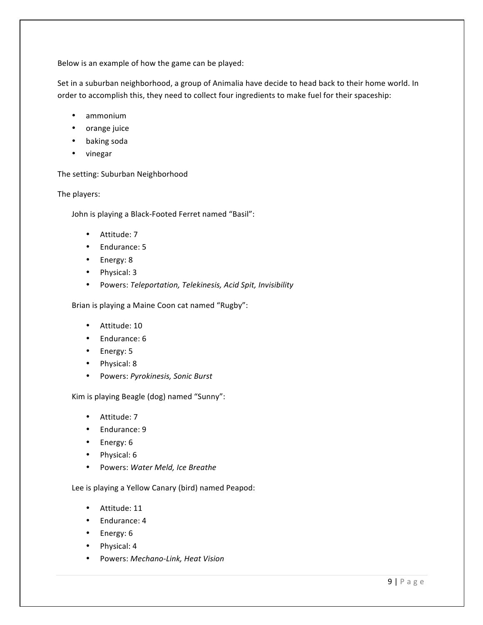Below is an example of how the game can be played:

Set in a suburban neighborhood, a group of Animalia have decide to head back to their home world. In order to accomplish this, they need to collect four ingredients to make fuel for their spaceship:

- ammonium
- orange juice
- baking soda
- vinegar

The setting: Suburban Neighborhood

The players:

John is playing a Black-Footed Ferret named "Basil":

- Attitude: 7
- Endurance: 5
- Energy: 8
- Physical: 3
- Powers: *Teleportation, Telekinesis, Acid Spit, Invisibility*

Brian is playing a Maine Coon cat named "Rugby":

- Attitude: 10
- Endurance: 6
- Energy: 5
- Physical: 8
- Powers: *Pyrokinesis, Sonic Burst*

Kim is playing Beagle (dog) named "Sunny":

- Attitude: 7
- Endurance: 9
- Energy: 6
- Physical: 6
- Powers: *Water Meld, Ice Breathe*

Lee is playing a Yellow Canary (bird) named Peapod:

- Attitude: 11
- Endurance: 4
- Energy: 6
- Physical: 4
- Powers: *Mechano-Link, Heat Vision*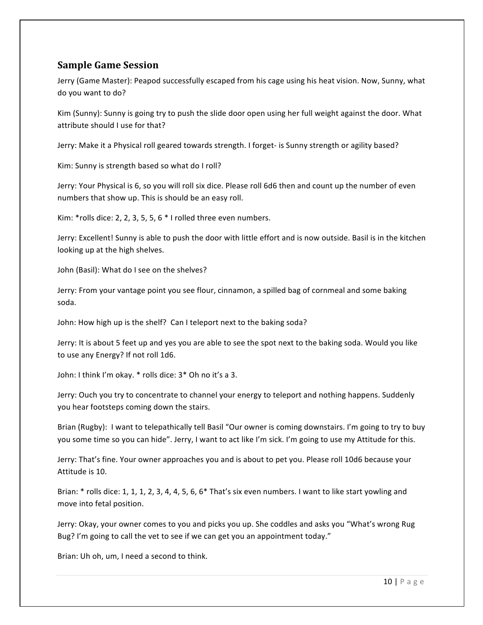# **Sample Game Session**

Jerry (Game Master): Peapod successfully escaped from his cage using his heat vision. Now, Sunny, what do you want to do?

Kim (Sunny): Sunny is going try to push the slide door open using her full weight against the door. What attribute should I use for that?

Jerry: Make it a Physical roll geared towards strength. I forget- is Sunny strength or agility based?

Kim: Sunny is strength based so what do I roll?

Jerry: Your Physical is 6, so you will roll six dice. Please roll 6d6 then and count up the number of even numbers that show up. This is should be an easy roll.

Kim: \*rolls dice: 2, 2, 3, 5, 5, 6 \* I rolled three even numbers.

Jerry: Excellent! Sunny is able to push the door with little effort and is now outside. Basil is in the kitchen looking up at the high shelves.

John (Basil): What do I see on the shelves?

Jerry: From your vantage point you see flour, cinnamon, a spilled bag of cornmeal and some baking soda.

John: How high up is the shelf? Can I teleport next to the baking soda?

Jerry: It is about 5 feet up and yes you are able to see the spot next to the baking soda. Would you like to use any Energy? If not roll 1d6.

John: I think I'm okay. \* rolls dice:  $3*$  Oh no it's a 3.

Jerry: Ouch you try to concentrate to channel your energy to teleport and nothing happens. Suddenly you hear footsteps coming down the stairs.

Brian (Rugby): I want to telepathically tell Basil "Our owner is coming downstairs. I'm going to try to buy you some time so you can hide". Jerry, I want to act like I'm sick. I'm going to use my Attitude for this.

Jerry: That's fine. Your owner approaches you and is about to pet you. Please roll 10d6 because your Attitude is 10.

Brian: \* rolls dice: 1, 1, 1, 2, 3, 4, 4, 5, 6, 6\* That's six even numbers. I want to like start yowling and move into fetal position.

Jerry: Okay, your owner comes to you and picks you up. She coddles and asks you "What's wrong Rug Bug? I'm going to call the vet to see if we can get you an appointment today."

Brian: Uh oh, um, I need a second to think.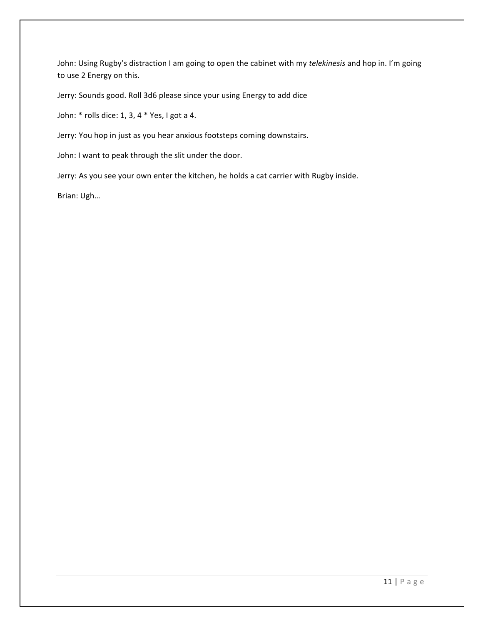John: Using Rugby's distraction I am going to open the cabinet with my *telekinesis* and hop in. I'm going to use 2 Energy on this.

Jerry: Sounds good. Roll 3d6 please since your using Energy to add dice

John:  $*$  rolls dice: 1, 3, 4  $*$  Yes, I got a 4.

Jerry: You hop in just as you hear anxious footsteps coming downstairs.

John: I want to peak through the slit under the door.

Jerry: As you see your own enter the kitchen, he holds a cat carrier with Rugby inside.

Brian: Ugh...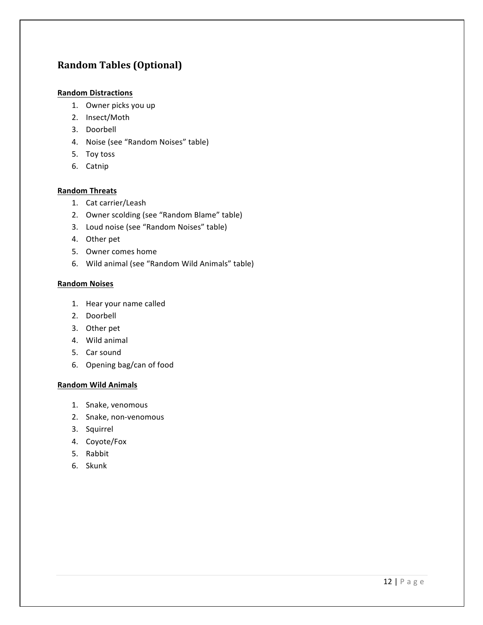# **Random Tables (Optional)**

### **Random Distractions**

- 1. Owner picks you up
- 2. Insect/Moth
- 3. Doorbell
- 4. Noise (see "Random Noises" table)
- 5. Toy toss
- 6. Catnip

### **Random Threats**

- 1. Cat carrier/Leash
- 2. Owner scolding (see "Random Blame" table)
- 3. Loud noise (see "Random Noises" table)
- 4. Other pet
- 5. Owner comes home
- 6. Wild animal (see "Random Wild Animals" table)

#### **Random Noises**

- 1. Hear your name called
- 2. Doorbell
- 3. Other pet
- 4. Wild animal
- 5. Car sound
- 6. Opening bag/can of food

#### **Random Wild Animals**

- 1. Snake, venomous
- 2. Snake, non-venomous
- 3. Squirrel
- 4. Coyote/Fox
- 5. Rabbit
- 6. Skunk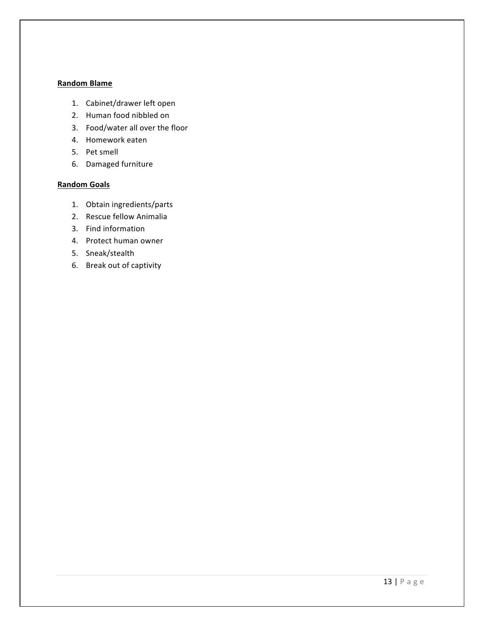### **Random Blame**

- 1. Cabinet/drawer left open
- 2. Human food nibbled on
- 3. Food/water all over the floor
- 4. Homework eaten
- 5. Pet smell
- 6. Damaged furniture

#### **Random Goals**

- 1. Obtain ingredients/parts
- 2. Rescue fellow Animalia
- 3. Find information
- 4. Protect human owner
- 5. Sneak/stealth
- 6. Break out of captivity